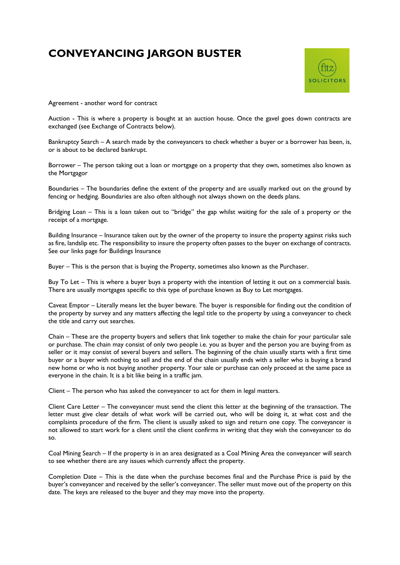## **CONVEYANCING JARGON BUSTER**



Agreement - another word for contract

Auction - This is where a property is bought at an auction house. Once the gavel goes down contracts are exchanged (see Exchange of Contracts below).

Bankruptcy Search – A search made by the conveyancers to check whether a buyer or a borrower has been, is, or is about to be declared bankrupt.

Borrower – The person taking out a loan or mortgage on a property that they own, sometimes also known as the Mortgagor

Boundaries – The boundaries define the extent of the property and are usually marked out on the ground by fencing or hedging. Boundaries are also often although not always shown on the deeds plans.

Bridging Loan – This is a loan taken out to "bridge" the gap whilst waiting for the sale of a property or the receipt of a mortgage.

Building Insurance – Insurance taken out by the owner of the property to insure the property against risks such as fire, landslip etc. The responsibility to insure the property often passes to the buyer on exchange of contracts. See our links page for Buildings Insurance

Buyer – This is the person that is buying the Property, sometimes also known as the Purchaser.

Buy To Let – This is where a buyer buys a property with the intention of letting it out on a commercial basis. There are usually mortgages specific to this type of purchase known as Buy to Let mortgages.

Caveat Emptor – Literally means let the buyer beware. The buyer is responsible for finding out the condition of the property by survey and any matters affecting the legal title to the property by using a conveyancer to check the title and carry out searches.

Chain – These are the property buyers and sellers that link together to make the chain for your particular sale or purchase. The chain may consist of only two people i.e. you as buyer and the person you are buying from as seller or it may consist of several buyers and sellers. The beginning of the chain usually starts with a first time buyer or a buyer with nothing to sell and the end of the chain usually ends with a seller who is buying a brand new home or who is not buying another property. Your sale or purchase can only proceed at the same pace as everyone in the chain. It is a bit like being in a traffic jam.

Client – The person who has asked the conveyancer to act for them in legal matters.

Client Care Letter – The conveyancer must send the client this letter at the beginning of the transaction. The letter must give clear details of what work will be carried out, who will be doing it, at what cost and the complaints procedure of the firm. The client is usually asked to sign and return one copy. The conveyancer is not allowed to start work for a client until the client confirms in writing that they wish the conveyancer to do so.

Coal Mining Search – If the property is in an area designated as a Coal Mining Area the conveyancer will search to see whether there are any issues which currently affect the property.

Completion Date – This is the date when the purchase becomes final and the Purchase Price is paid by the buyer's conveyancer and received by the seller's conveyancer. The seller must move out of the property on this date. The keys are released to the buyer and they may move into the property.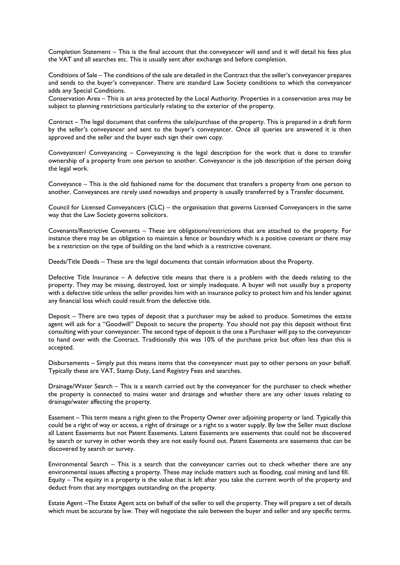Completion Statement – This is the final account that the conveyancer will send and it will detail his fees plus the VAT and all searches etc. This is usually sent after exchange and before completion.

Conditions of Sale – The conditions of the sale are detailed in the Contract that the seller's conveyancer prepares and sends to the buyer's conveyancer. There are standard Law Society conditions to which the conveyancer adds any Special Conditions.

Conservation Area – This is an area protected by the Local Authority. Properties in a conservation area may be subject to planning restrictions particularly relating to the exterior of the property.

Contract – The legal document that confirms the sale/purchase of the property. This is prepared in a draft form by the seller's conveyancer and sent to the buyer's conveyancer. Once all queries are answered it is then approved and the seller and the buyer each sign their own copy.

Conveyancer/ Conveyancing – Conveyancing is the legal description for the work that is done to transfer ownership of a property from one person to another. Conveyancer is the job description of the person doing the legal work.

Conveyance – This is the old fashioned name for the document that transfers a property from one person to another. Conveyances are rarely used nowadays and property is usually transferred by a Transfer document.

Council for Licensed Conveyancers (CLC) – the organisation that governs Licensed Conveyancers in the same way that the Law Society governs solicitors.

Covenants/Restrictive Covenants – These are obligations/restrictions that are attached to the property. For instance there may be an obligation to maintain a fence or boundary which is a positive covenant or there may be a restriction on the type of building on the land which is a restrictive covenant.

Deeds/Title Deeds – These are the legal documents that contain information about the Property.

Defective Title Insurance – A defective title means that there is a problem with the deeds relating to the property. They may be missing, destroyed, lost or simply inadequate. A buyer will not usually buy a property with a defective title unless the seller provides him with an insurance policy to protect him and his lender against any financial loss which could result from the defective title.

Deposit – There are two types of deposit that a purchaser may be asked to produce. Sometimes the estate agent will ask for a "Goodwill" Deposit to secure the property. You should not pay this deposit without first consulting with your conveyancer. The second type of deposit is the one a Purchaser will pay to the conveyancer to hand over with the Contract. Traditionally this was 10% of the purchase price but often less than this is accepted.

Disbursements – Simply put this means items that the conveyancer must pay to other persons on your behalf. Typically these are VAT, Stamp Duty, Land Registry Fees and searches.

Drainage/Water Search – This is a search carried out by the conveyancer for the purchaser to check whether the property is connected to mains water and drainage and whether there are any other issues relating to drainage/water affecting the property.

Easement – This term means a right given to the Property Owner over adjoining property or land. Typically this could be a right of way or access, a right of drainage or a right to a water supply. By law the Seller must disclose all Latent Easements but not Patent Easements. Latent Easements are easements that could not be discovered by search or survey in other words they are not easily found out. Patent Easements are easements that can be discovered by search or survey.

Environmental Search – This is a search that the conveyancer carries out to check whether there are any environmental issues affecting a property. These may include matters such as flooding, coal mining and land fill. Equity – The equity in a property is the value that is left after you take the current worth of the property and deduct from that any mortgages outstanding on the property.

Estate Agent –The Estate Agent acts on behalf of the seller to sell the property. They will prepare a set of details which must be accurate by law. They will negotiate the sale between the buyer and seller and any specific terms.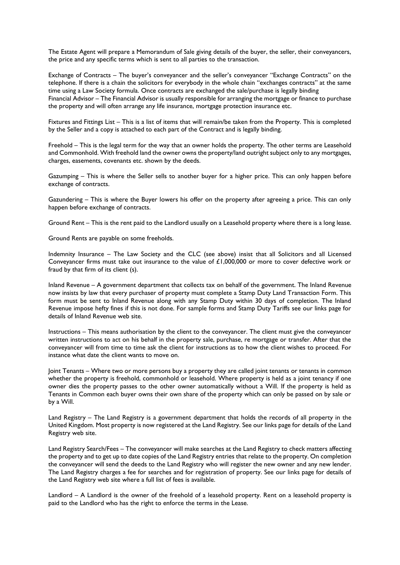The Estate Agent will prepare a Memorandum of Sale giving details of the buyer, the seller, their conveyancers, the price and any specific terms which is sent to all parties to the transaction.

Exchange of Contracts – The buyer's conveyancer and the seller's conveyancer "Exchange Contracts" on the telephone. If there is a chain the solicitors for everybody in the whole chain "exchanges contracts" at the same time using a Law Society formula. Once contracts are exchanged the sale/purchase is legally binding Financial Advisor – The Financial Advisor is usually responsible for arranging the mortgage or finance to purchase the property and will often arrange any life insurance, mortgage protection insurance etc.

Fixtures and Fittings List – This is a list of items that will remain/be taken from the Property. This is completed by the Seller and a copy is attached to each part of the Contract and is legally binding.

Freehold – This is the legal term for the way that an owner holds the property. The other terms are Leasehold and Commonhold. With freehold land the owner owns the property/land outright subject only to any mortgages, charges, easements, covenants etc. shown by the deeds.

Gazumping – This is where the Seller sells to another buyer for a higher price. This can only happen before exchange of contracts.

Gazundering – This is where the Buyer lowers his offer on the property after agreeing a price. This can only happen before exchange of contracts.

Ground Rent – This is the rent paid to the Landlord usually on a Leasehold property where there is a long lease.

Ground Rents are payable on some freeholds.

Indemnity Insurance – The Law Society and the CLC (see above) insist that all Solicitors and all Licensed Conveyancer firms must take out insurance to the value of £1,000,000 or more to cover defective work or fraud by that firm of its client (s).

Inland Revenue – A government department that collects tax on behalf of the government. The Inland Revenue now insists by law that every purchaser of property must complete a Stamp Duty Land Transaction Form. This form must be sent to Inland Revenue along with any Stamp Duty within 30 days of completion. The Inland Revenue impose hefty fines if this is not done. For sample forms and Stamp Duty Tariffs see our links page for details of Inland Revenue web site.

Instructions – This means authorisation by the client to the conveyancer. The client must give the conveyancer written instructions to act on his behalf in the property sale, purchase, re mortgage or transfer. After that the conveyancer will from time to time ask the client for instructions as to how the client wishes to proceed. For instance what date the client wants to move on.

Joint Tenants – Where two or more persons buy a property they are called joint tenants or tenants in common whether the property is freehold, commonhold or leasehold. Where property is held as a joint tenancy if one owner dies the property passes to the other owner automatically without a Will. If the property is held as Tenants in Common each buyer owns their own share of the property which can only be passed on by sale or by a Will.

Land Registry – The Land Registry is a government department that holds the records of all property in the United Kingdom. Most property is now registered at the Land Registry. See our links page for details of the Land Registry web site.

Land Registry Search/Fees – The conveyancer will make searches at the Land Registry to check matters affecting the property and to get up to date copies of the Land Registry entries that relate to the property. On completion the conveyancer will send the deeds to the Land Registry who will register the new owner and any new lender. The Land Registry charges a fee for searches and for registration of property. See our links page for details of the Land Registry web site where a full list of fees is available.

Landlord – A Landlord is the owner of the freehold of a leasehold property. Rent on a leasehold property is paid to the Landlord who has the right to enforce the terms in the Lease.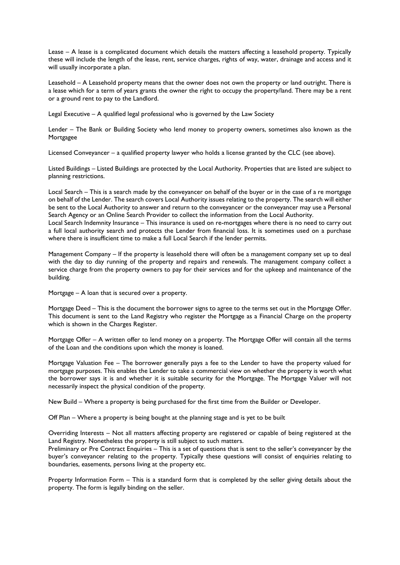Lease – A lease is a complicated document which details the matters affecting a leasehold property. Typically these will include the length of the lease, rent, service charges, rights of way, water, drainage and access and it will usually incorporate a plan.

Leasehold – A Leasehold property means that the owner does not own the property or land outright. There is a lease which for a term of years grants the owner the right to occupy the property/land. There may be a rent or a ground rent to pay to the Landlord.

Legal Executive – A qualified legal professional who is governed by the Law Society

Lender – The Bank or Building Society who lend money to property owners, sometimes also known as the Mortgagee

Licensed Conveyancer – a qualified property lawyer who holds a license granted by the CLC (see above).

Listed Buildings – Listed Buildings are protected by the Local Authority. Properties that are listed are subject to planning restrictions.

Local Search – This is a search made by the conveyancer on behalf of the buyer or in the case of a re mortgage on behalf of the Lender. The search covers Local Authority issues relating to the property. The search will either be sent to the Local Authority to answer and return to the conveyancer or the conveyancer may use a Personal Search Agency or an Online Search Provider to collect the information from the Local Authority.

Local Search Indemnity Insurance – This insurance is used on re-mortgages where there is no need to carry out a full local authority search and protects the Lender from financial loss. It is sometimes used on a purchase where there is insufficient time to make a full Local Search if the lender permits.

Management Company – If the property is leasehold there will often be a management company set up to deal with the day to day running of the property and repairs and renewals. The management company collect a service charge from the property owners to pay for their services and for the upkeep and maintenance of the building.

Mortgage – A loan that is secured over a property.

Mortgage Deed – This is the document the borrower signs to agree to the terms set out in the Mortgage Offer. This document is sent to the Land Registry who register the Mortgage as a Financial Charge on the property which is shown in the Charges Register.

Mortgage Offer – A written offer to lend money on a property. The Mortgage Offer will contain all the terms of the Loan and the conditions upon which the money is loaned.

Mortgage Valuation Fee – The borrower generally pays a fee to the Lender to have the property valued for mortgage purposes. This enables the Lender to take a commercial view on whether the property is worth what the borrower says it is and whether it is suitable security for the Mortgage. The Mortgage Valuer will not necessarily inspect the physical condition of the property.

New Build – Where a property is being purchased for the first time from the Builder or Developer.

Off Plan – Where a property is being bought at the planning stage and is yet to be built

Overriding Interests – Not all matters affecting property are registered or capable of being registered at the Land Registry. Nonetheless the property is still subject to such matters.

Preliminary or Pre Contract Enquiries – This is a set of questions that is sent to the seller's conveyancer by the buyer's conveyancer relating to the property. Typically these questions will consist of enquiries relating to boundaries, easements, persons living at the property etc.

Property Information Form – This is a standard form that is completed by the seller giving details about the property. The form is legally binding on the seller.